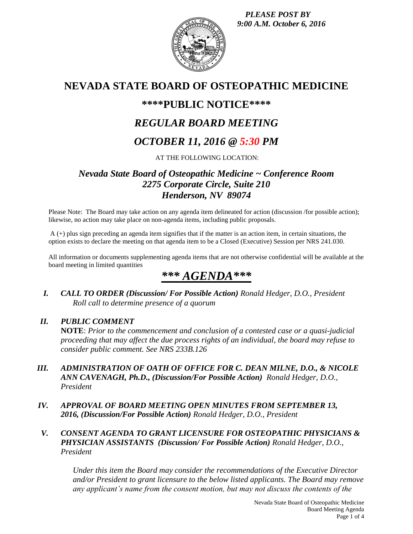*PLEASE POST BY 9:00 A.M. October 6, 2016*



# **NEVADA STATE BOARD OF OSTEOPATHIC MEDICINE**

## **\*\*\*\*PUBLIC NOTICE\*\*\*\***

# *REGULAR BOARD MEETING*

# *OCTOBER 11, 2016 @ 5:30 PM*

AT THE FOLLOWING LOCATION:

## *Nevada State Board of Osteopathic Medicine ~ Conference Room 2275 Corporate Circle, Suite 210 Henderson, NV 89074*

Please Note: The Board may take action on any agenda item delineated for action (discussion /for possible action); likewise, no action may take place on non-agenda items, including public proposals.

A (+) plus sign preceding an agenda item signifies that if the matter is an action item, in certain situations, the option exists to declare the meeting on that agenda item to be a Closed (Executive) Session per NRS 241.030.

All information or documents supplementing agenda items that are not otherwise confidential will be available at the board meeting in limited quantities

# *\*\*\* AGENDA\*\*\**

*I. CALL TO ORDER (Discussion/ For Possible Action) Ronald Hedger, D.O., President Roll call to determine presence of a quorum*

## *II. PUBLIC COMMENT*

**NOTE**: *Prior to the commencement and conclusion of a contested case or a quasi-judicial proceeding that may affect the due process rights of an individual, the board may refuse to consider public comment. See NRS 233B.126*

- *III. ADMINISTRATION OF OATH OF OFFICE FOR C. DEAN MILNE, D.O., & NICOLE ANN CAVENAGH, Ph.D., (Discussion/For Possible Action) Ronald Hedger, D.O., President*
- *IV. APPROVAL OF BOARD MEETING OPEN MINUTES FROM SEPTEMBER 13, 2016, (Discussion/For Possible Action) Ronald Hedger, D.O., President*
- *V. CONSENT AGENDA TO GRANT LICENSURE FOR OSTEOPATHIC PHYSICIANS & PHYSICIAN ASSISTANTS (Discussion/ For Possible Action) Ronald Hedger, D.O., President*

*Under this item the Board may consider the recommendations of the Executive Director and/or President to grant licensure to the below listed applicants. The Board may remove any applicant's name from the consent motion, but may not discuss the contents of the*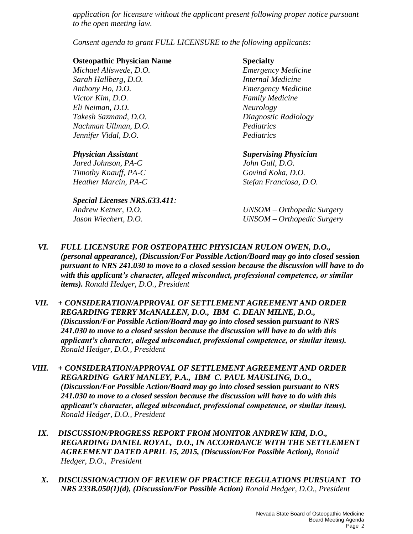*application for licensure without the applicant present following proper notice pursuant to the open meeting law.* 

*Consent agenda to grant FULL LICENSURE to the following applicants:*

### **Osteopathic Physician Name Specialty**

*Michael Allswede, D.O. Emergency Medicine Sarah Hallberg, D.O. Internal Medicine Anthony Ho, D.O. Emergency Medicine Victor Kim, D.O. Family Medicine Eli Neiman, D.O. Neurology Takesh Sazmand, D.O. Diagnostic Radiology Nachman Ullman, D.O. Pediatrics Jennifer Vidal, D.O. Pediatrics*

*Jared Johnson, PA-C John Gull, D.O. Timothy Knauff, PA-C Govind Koka, D.O.*

## *Special Licenses NRS.633.411: Andrew Ketner, D.O. UNSOM – Orthopedic Surgery*

*Physician Assistant Supervising Physician Heather Marcin, PA-C Stefan Franciosa, D.O.*

*Jason Wiechert, D.O. UNSOM – Orthopedic Surgery*

- *VI. FULL LICENSURE FOR OSTEOPATHIC PHYSICIAN RULON OWEN, D.O., (personal appearance), (Discussion/For Possible Action/Board may go into closed* **session** *pursuant to NRS 241.030 to move to a closed session because the discussion will have to do with this applicant's character, alleged misconduct, professional competence, or similar items). Ronald Hedger, D.O., President*
- *VII. + CONSIDERATION/APPROVAL OF SETTLEMENT AGREEMENT AND ORDER REGARDING TERRY McANALLEN, D.O., IBM C. DEAN MILNE, D.O., (Discussion/For Possible Action/Board may go into closed* **session** *pursuant to NRS 241.030 to move to a closed session because the discussion will have to do with this applicant's character, alleged misconduct, professional competence, or similar items). Ronald Hedger, D.O., President*
- *VIII. + CONSIDERATION/APPROVAL OF SETTLEMENT AGREEMENT AND ORDER REGARDING GARY MANLEY, P.A., IBM C. PAUL MAUSLING, D.O., (Discussion/For Possible Action/Board may go into closed* **session** *pursuant to NRS 241.030 to move to a closed session because the discussion will have to do with this applicant's character, alleged misconduct, professional competence, or similar items). Ronald Hedger, D.O., President*
	- *IX. DISCUSSION/PROGRESS REPORT FROM MONITOR ANDREW KIM, D.O., REGARDING DANIEL ROYAL, D.O., IN ACCORDANCE WITH THE SETTLEMENT AGREEMENT DATED APRIL 15, 2015, (Discussion/For Possible Action), Ronald Hedger, D.O., President*
	- *X. DISCUSSION/ACTION OF REVIEW OF PRACTICE REGULATIONS PURSUANT TO NRS 233B.050(1)(d), (Discussion/For Possible Action) Ronald Hedger, D.O., President*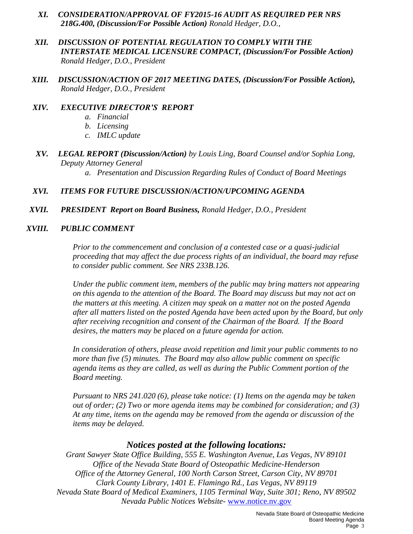- *XI. CONSIDERATION/APPROVAL OF FY2015-16 AUDIT AS REQUIRED PER NRS 218G.400, (Discussion/For Possible Action) Ronald Hedger, D.O.,*
- *XII. DISCUSSION OF POTENTIAL REGULATION TO COMPLY WITH THE INTERSTATE MEDICAL LICENSURE COMPACT, (Discussion/For Possible Action) Ronald Hedger, D.O., President*
- *XIII. DISCUSSION/ACTION OF 2017 MEETING DATES, (Discussion/For Possible Action), Ronald Hedger, D.O., President*
- *XIV. EXECUTIVE DIRECTOR'S REPORT*
	- *a. Financial*
	- *b. Licensing*
	- *c. IMLC update*
- *XV. LEGAL REPORT (Discussion/Action) by Louis Ling, Board Counsel and/or Sophia Long, Deputy Attorney General* 
	- *a. Presentation and Discussion Regarding Rules of Conduct of Board Meetings*

### *XVI. ITEMS FOR FUTURE DISCUSSION/ACTION/UPCOMING AGENDA*

*XVII. PRESIDENT Report on Board Business, Ronald Hedger, D.O., President*

### *XVIII. PUBLIC COMMENT*

*Prior to the commencement and conclusion of a contested case or a quasi-judicial proceeding that may affect the due process rights of an individual, the board may refuse to consider public comment. See NRS 233B.126.*

*Under the public comment item, members of the public may bring matters not appearing on this agenda to the attention of the Board. The Board may discuss but may not act on the matters at this meeting. A citizen may speak on a matter not on the posted Agenda after all matters listed on the posted Agenda have been acted upon by the Board, but only after receiving recognition and consent of the Chairman of the Board. If the Board desires, the matters may be placed on a future agenda for action.*

*In consideration of others, please avoid repetition and limit your public comments to no more than five (5) minutes. The Board may also allow public comment on specific agenda items as they are called, as well as during the Public Comment portion of the Board meeting.* 

*Pursuant to NRS 241.020 (6), please take notice: (1) Items on the agenda may be taken out of order; (2) Two or more agenda items may be combined for consideration; and (3) At any time, items on the agenda may be removed from the agenda or discussion of the items may be delayed.*

## *Notices posted at the following locations:*

*Grant Sawyer State Office Building, 555 E. Washington Avenue, Las Vegas, NV 89101 Office of the Nevada State Board of Osteopathic Medicine-Henderson Office of the Attorney General, 100 North Carson Street, Carson City, NV 89701 Clark County Library, 1401 E. Flamingo Rd., Las Vegas, NV 89119 Nevada State Board of Medical Examiners, 1105 Terminal Way, Suite 301; Reno, NV 89502 Nevada Public Notices Website-* [www.notice.nv.gov](http://www.notice.nv.gov/)